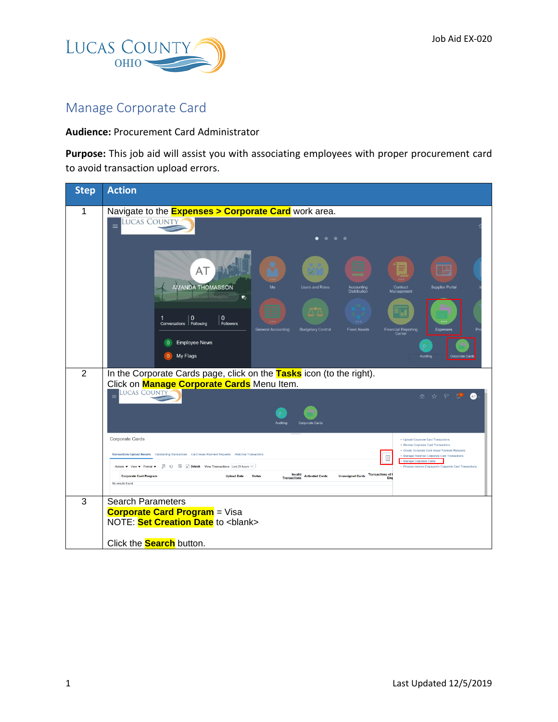

## Manage Corporate Card

## **Audience:** Procurement Card Administrator

**Purpose:** This job aid will assist you with associating employees with proper procurement card to avoid transaction upload errors.

| <b>LUCAS COUNTY</b>                                                                                                                                                                                                                                                                                                                                                                                                                                                                                                                                                                                                                                                                                       |  |  |  |  |  |
|-----------------------------------------------------------------------------------------------------------------------------------------------------------------------------------------------------------------------------------------------------------------------------------------------------------------------------------------------------------------------------------------------------------------------------------------------------------------------------------------------------------------------------------------------------------------------------------------------------------------------------------------------------------------------------------------------------------|--|--|--|--|--|
| Navigate to the <b>Expenses &gt; Corporate Card</b> work area.<br>$\equiv$<br>$\bullet\quad \bullet\quad \bullet$                                                                                                                                                                                                                                                                                                                                                                                                                                                                                                                                                                                         |  |  |  |  |  |
| AT<br>AMANDA THOMASSON<br>Me<br><b>Users and Roles</b><br><b>Supplier Portal</b><br>Accounting<br>Contract<br><b>Distribution</b><br>Management<br>哂                                                                                                                                                                                                                                                                                                                                                                                                                                                                                                                                                      |  |  |  |  |  |
| $\wedge \wedge$<br>$\mathbf{0}$<br>$\Omega$<br>1<br>Conversations   Following<br>Followers<br><b>Financial Reporting</b><br><b>General Accounting</b><br><b>Budgetary Control</b><br><b>Fixed Assets</b><br>Expenses<br>Center<br><b>Employee News</b><br>$\overline{0}$<br>My Flags<br>$\theta$<br>Auditing<br>Corporate Cards                                                                                                                                                                                                                                                                                                                                                                           |  |  |  |  |  |
| In the Corporate Cards page, click on the Tasks icon (to the right).<br>Click on <b>Manage Corporate Cards</b> Menu Item.<br><b>LUCAS COUNTY</b><br>$\equiv$<br>⋒<br>☆<br><b>Corporate Cards</b>                                                                                                                                                                                                                                                                                                                                                                                                                                                                                                          |  |  |  |  |  |
| <b>Corporate Cards</b><br>• Upload Corporate Card Transactions<br>· Review Corporate Card Transactions<br>· Create Corporate Card Issuer Payment Requests<br>Transactions Upload Results  Outstanding Transactions  Card Issuer Payment Requests  Historical Transactions<br>. Manage Historical Corporate Card Transactions<br>E<br>Manage Corporate Cards<br>Actions ♥ View ♥ Format ♥ H ① H 20 Detach View Transactions Last 24 hours $\vee$<br>· Process Inactive Employee's Corporate Card Transactions<br>Invalid<br>Unassigned Cards Transactions of<br><b>Corporate Card Program</b><br><b>Upload Date</b><br><b>Status</b><br><b>Activated Cards</b><br><b>Transactions</b><br>No results found. |  |  |  |  |  |
| <b>Search Parameters</b><br><b>Corporate Card Program</b> = Visa<br>NOTE: Set Creation Date to <blank><br/>Click the <b>Search</b> button.</blank>                                                                                                                                                                                                                                                                                                                                                                                                                                                                                                                                                        |  |  |  |  |  |
|                                                                                                                                                                                                                                                                                                                                                                                                                                                                                                                                                                                                                                                                                                           |  |  |  |  |  |